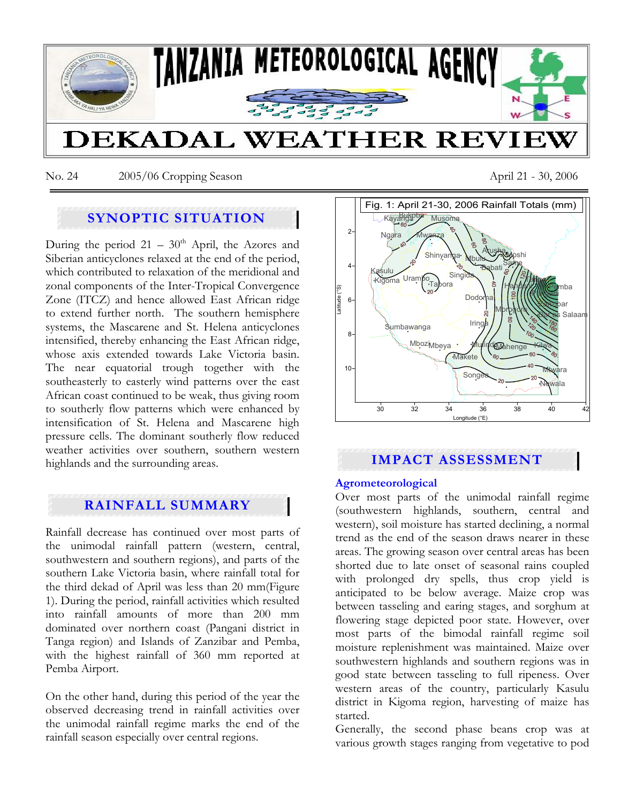

No. 24 2005/06 Cropping Season April 21 - 30, 2006

# **SYNOPTIC SITUATION**

During the period  $21 - 30<sup>th</sup>$  April, the Azores and Siberian anticyclones relaxed at the end of the period, which contributed to relaxation of the meridional and zonal components of the Inter-Tropical Convergence Zone (ITCZ) and hence allowed East African ridge to extend further north. The southern hemisphere systems, the Mascarene and St. Helena anticyclones intensified, thereby enhancing the East African ridge, whose axis extended towards Lake Victoria basin. The near equatorial trough together with the southeasterly to easterly wind patterns over the east African coast continued to be weak, thus giving room to southerly flow patterns which were enhanced by intensification of St. Helena and Mascarene high pressure cells. The dominant southerly flow reduced weather activities over southern, southern western highlands and the surrounding areas.

# **RAINFALL SUMMARY**

Rainfall decrease has continued over most parts of the unimodal rainfall pattern (western, central, southwestern and southern regions), and parts of the southern Lake Victoria basin, where rainfall total for the third dekad of April was less than 20 mm(Figure 1). During the period, rainfall activities which resulted into rainfall amounts of more than 200 mm dominated over northern coast (Pangani district in Tanga region) and Islands of Zanzibar and Pemba, with the highest rainfall of 360 mm reported at Pemba Airport.

On the other hand, during this period of the year the observed decreasing trend in rainfall activities over the unimodal rainfall regime marks the end of the rainfall season especially over central regions.



# **IMPACT ASSESSMENT**

### **Agrometeorological**

Over most parts of the unimodal rainfall regime (southwestern highlands, southern, central and western), soil moisture has started declining, a normal trend as the end of the season draws nearer in these areas. The growing season over central areas has been shorted due to late onset of seasonal rains coupled with prolonged dry spells, thus crop yield is anticipated to be below average. Maize crop was between tasseling and earing stages, and sorghum at flowering stage depicted poor state. However, over most parts of the bimodal rainfall regime soil moisture replenishment was maintained. Maize over southwestern highlands and southern regions was in good state between tasseling to full ripeness. Over western areas of the country, particularly Kasulu district in Kigoma region, harvesting of maize has started.

Generally, the second phase beans crop was at various growth stages ranging from vegetative to pod